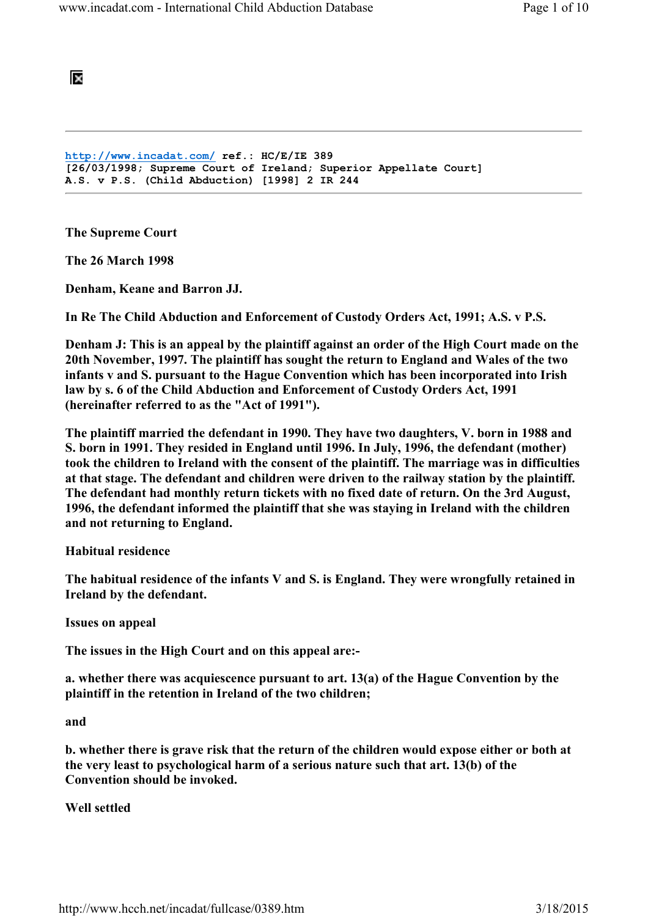阪

http://www.incadat.com/ ref.: HC/E/IE 389 [26/03/1998; Supreme Court of Ireland; Superior Appellate Court] A.S. v P.S. (Child Abduction) [1998] 2 IR 244

The Supreme Court

The 26 March 1998

Denham, Keane and Barron JJ.

In Re The Child Abduction and Enforcement of Custody Orders Act, 1991; A.S. v P.S.

Denham J: This is an appeal by the plaintiff against an order of the High Court made on the 20th November, 1997. The plaintiff has sought the return to England and Wales of the two infants v and S. pursuant to the Hague Convention which has been incorporated into Irish law by s. 6 of the Child Abduction and Enforcement of Custody Orders Act, 1991 (hereinafter referred to as the "Act of 1991").

The plaintiff married the defendant in 1990. They have two daughters, V. born in 1988 and S. born in 1991. They resided in England until 1996. In July, 1996, the defendant (mother) took the children to Ireland with the consent of the plaintiff. The marriage was in difficulties at that stage. The defendant and children were driven to the railway station by the plaintiff. The defendant had monthly return tickets with no fixed date of return. On the 3rd August, 1996, the defendant informed the plaintiff that she was staying in Ireland with the children and not returning to England.

Habitual residence

The habitual residence of the infants V and S. is England. They were wrongfully retained in Ireland by the defendant.

Issues on appeal

The issues in the High Court and on this appeal are:-

a. whether there was acquiescence pursuant to art. 13(a) of the Hague Convention by the plaintiff in the retention in Ireland of the two children;

and

b. whether there is grave risk that the return of the children would expose either or both at the very least to psychological harm of a serious nature such that art. 13(b) of the Convention should be invoked.

Well settled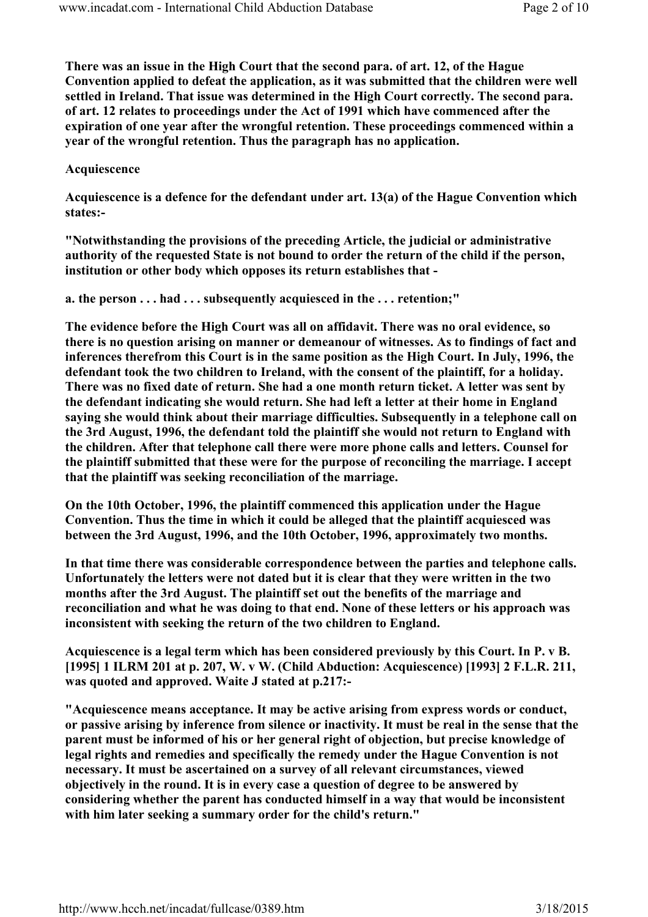There was an issue in the High Court that the second para. of art. 12, of the Hague Convention applied to defeat the application, as it was submitted that the children were well settled in Ireland. That issue was determined in the High Court correctly. The second para. of art. 12 relates to proceedings under the Act of 1991 which have commenced after the expiration of one year after the wrongful retention. These proceedings commenced within a year of the wrongful retention. Thus the paragraph has no application.

### Acquiescence

Acquiescence is a defence for the defendant under art. 13(a) of the Hague Convention which states:-

"Notwithstanding the provisions of the preceding Article, the judicial or administrative authority of the requested State is not bound to order the return of the child if the person, institution or other body which opposes its return establishes that -

a. the person . . . had . . . subsequently acquiesced in the . . . retention;"

The evidence before the High Court was all on affidavit. There was no oral evidence, so there is no question arising on manner or demeanour of witnesses. As to findings of fact and inferences therefrom this Court is in the same position as the High Court. In July, 1996, the defendant took the two children to Ireland, with the consent of the plaintiff, for a holiday. There was no fixed date of return. She had a one month return ticket. A letter was sent by the defendant indicating she would return. She had left a letter at their home in England saying she would think about their marriage difficulties. Subsequently in a telephone call on the 3rd August, 1996, the defendant told the plaintiff she would not return to England with the children. After that telephone call there were more phone calls and letters. Counsel for the plaintiff submitted that these were for the purpose of reconciling the marriage. I accept that the plaintiff was seeking reconciliation of the marriage.

On the 10th October, 1996, the plaintiff commenced this application under the Hague Convention. Thus the time in which it could be alleged that the plaintiff acquiesced was between the 3rd August, 1996, and the 10th October, 1996, approximately two months.

In that time there was considerable correspondence between the parties and telephone calls. Unfortunately the letters were not dated but it is clear that they were written in the two months after the 3rd August. The plaintiff set out the benefits of the marriage and reconciliation and what he was doing to that end. None of these letters or his approach was inconsistent with seeking the return of the two children to England.

Acquiescence is a legal term which has been considered previously by this Court. In P. v B. [1995] 1 ILRM 201 at p. 207, W. v W. (Child Abduction: Acquiescence) [1993] 2 F.L.R. 211, was quoted and approved. Waite J stated at p.217:-

"Acquiescence means acceptance. It may be active arising from express words or conduct, or passive arising by inference from silence or inactivity. It must be real in the sense that the parent must be informed of his or her general right of objection, but precise knowledge of legal rights and remedies and specifically the remedy under the Hague Convention is not necessary. It must be ascertained on a survey of all relevant circumstances, viewed objectively in the round. It is in every case a question of degree to be answered by considering whether the parent has conducted himself in a way that would be inconsistent with him later seeking a summary order for the child's return."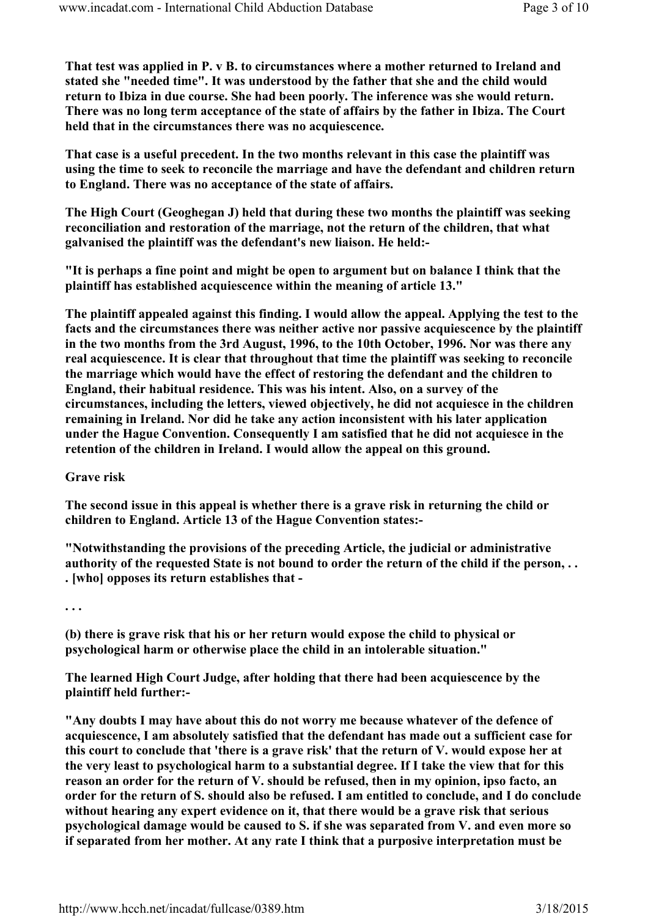That test was applied in P. v B. to circumstances where a mother returned to Ireland and stated she "needed time". It was understood by the father that she and the child would return to Ibiza in due course. She had been poorly. The inference was she would return. There was no long term acceptance of the state of affairs by the father in Ibiza. The Court held that in the circumstances there was no acquiescence.

That case is a useful precedent. In the two months relevant in this case the plaintiff was using the time to seek to reconcile the marriage and have the defendant and children return to England. There was no acceptance of the state of affairs.

The High Court (Geoghegan J) held that during these two months the plaintiff was seeking reconciliation and restoration of the marriage, not the return of the children, that what galvanised the plaintiff was the defendant's new liaison. He held:-

"It is perhaps a fine point and might be open to argument but on balance I think that the plaintiff has established acquiescence within the meaning of article 13."

The plaintiff appealed against this finding. I would allow the appeal. Applying the test to the facts and the circumstances there was neither active nor passive acquiescence by the plaintiff in the two months from the 3rd August, 1996, to the 10th October, 1996. Nor was there any real acquiescence. It is clear that throughout that time the plaintiff was seeking to reconcile the marriage which would have the effect of restoring the defendant and the children to England, their habitual residence. This was his intent. Also, on a survey of the circumstances, including the letters, viewed objectively, he did not acquiesce in the children remaining in Ireland. Nor did he take any action inconsistent with his later application under the Hague Convention. Consequently I am satisfied that he did not acquiesce in the retention of the children in Ireland. I would allow the appeal on this ground.

Grave risk

The second issue in this appeal is whether there is a grave risk in returning the child or children to England. Article 13 of the Hague Convention states:-

"Notwithstanding the provisions of the preceding Article, the judicial or administrative authority of the requested State is not bound to order the return of the child if the person, . . . [who] opposes its return establishes that -

. . .

(b) there is grave risk that his or her return would expose the child to physical or psychological harm or otherwise place the child in an intolerable situation."

The learned High Court Judge, after holding that there had been acquiescence by the plaintiff held further:-

"Any doubts I may have about this do not worry me because whatever of the defence of acquiescence, I am absolutely satisfied that the defendant has made out a sufficient case for this court to conclude that 'there is a grave risk' that the return of V. would expose her at the very least to psychological harm to a substantial degree. If I take the view that for this reason an order for the return of V. should be refused, then in my opinion, ipso facto, an order for the return of S. should also be refused. I am entitled to conclude, and I do conclude without hearing any expert evidence on it, that there would be a grave risk that serious psychological damage would be caused to S. if she was separated from V. and even more so if separated from her mother. At any rate I think that a purposive interpretation must be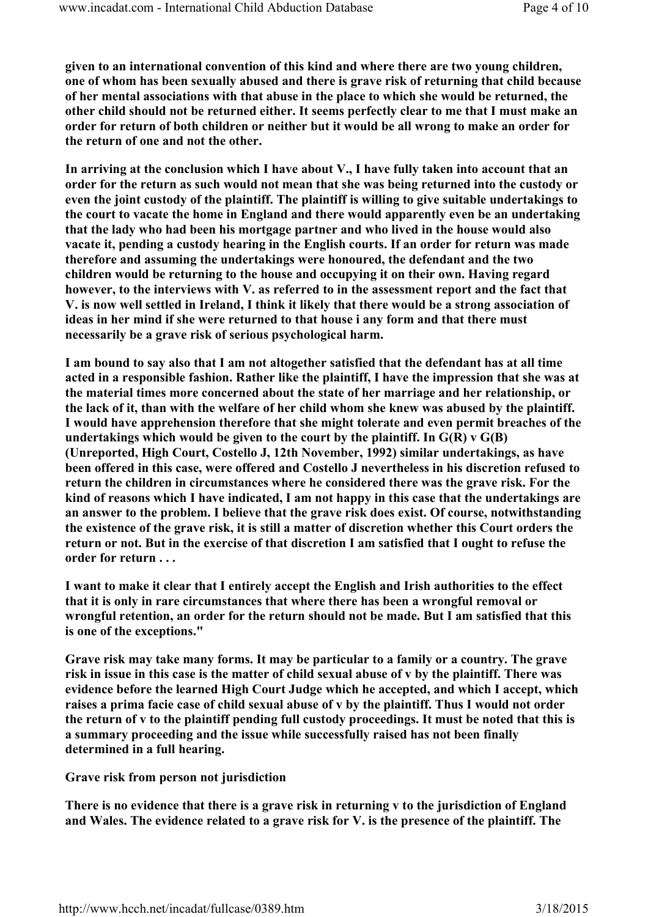given to an international convention of this kind and where there are two young children, one of whom has been sexually abused and there is grave risk of returning that child because of her mental associations with that abuse in the place to which she would be returned, the other child should not be returned either. It seems perfectly clear to me that I must make an order for return of both children or neither but it would be all wrong to make an order for the return of one and not the other.

In arriving at the conclusion which I have about V., I have fully taken into account that an order for the return as such would not mean that she was being returned into the custody or even the joint custody of the plaintiff. The plaintiff is willing to give suitable undertakings to the court to vacate the home in England and there would apparently even be an undertaking that the lady who had been his mortgage partner and who lived in the house would also vacate it, pending a custody hearing in the English courts. If an order for return was made therefore and assuming the undertakings were honoured, the defendant and the two children would be returning to the house and occupying it on their own. Having regard however, to the interviews with V. as referred to in the assessment report and the fact that V. is now well settled in Ireland, I think it likely that there would be a strong association of ideas in her mind if she were returned to that house i any form and that there must necessarily be a grave risk of serious psychological harm.

I am bound to say also that I am not altogether satisfied that the defendant has at all time acted in a responsible fashion. Rather like the plaintiff, I have the impression that she was at the material times more concerned about the state of her marriage and her relationship, or the lack of it, than with the welfare of her child whom she knew was abused by the plaintiff. I would have apprehension therefore that she might tolerate and even permit breaches of the undertakings which would be given to the court by the plaintiff. In  $G(R)$  v  $G(B)$ (Unreported, High Court, Costello J, 12th November, 1992) similar undertakings, as have been offered in this case, were offered and Costello J nevertheless in his discretion refused to return the children in circumstances where he considered there was the grave risk. For the kind of reasons which I have indicated, I am not happy in this case that the undertakings are an answer to the problem. I believe that the grave risk does exist. Of course, notwithstanding the existence of the grave risk, it is still a matter of discretion whether this Court orders the return or not. But in the exercise of that discretion I am satisfied that I ought to refuse the order for return . . .

I want to make it clear that I entirely accept the English and Irish authorities to the effect that it is only in rare circumstances that where there has been a wrongful removal or wrongful retention, an order for the return should not be made. But I am satisfied that this is one of the exceptions."

Grave risk may take many forms. It may be particular to a family or a country. The grave risk in issue in this case is the matter of child sexual abuse of v by the plaintiff. There was evidence before the learned High Court Judge which he accepted, and which I accept, which raises a prima facie case of child sexual abuse of v by the plaintiff. Thus I would not order the return of v to the plaintiff pending full custody proceedings. It must be noted that this is a summary proceeding and the issue while successfully raised has not been finally determined in a full hearing.

Grave risk from person not jurisdiction

There is no evidence that there is a grave risk in returning v to the jurisdiction of England and Wales. The evidence related to a grave risk for V. is the presence of the plaintiff. The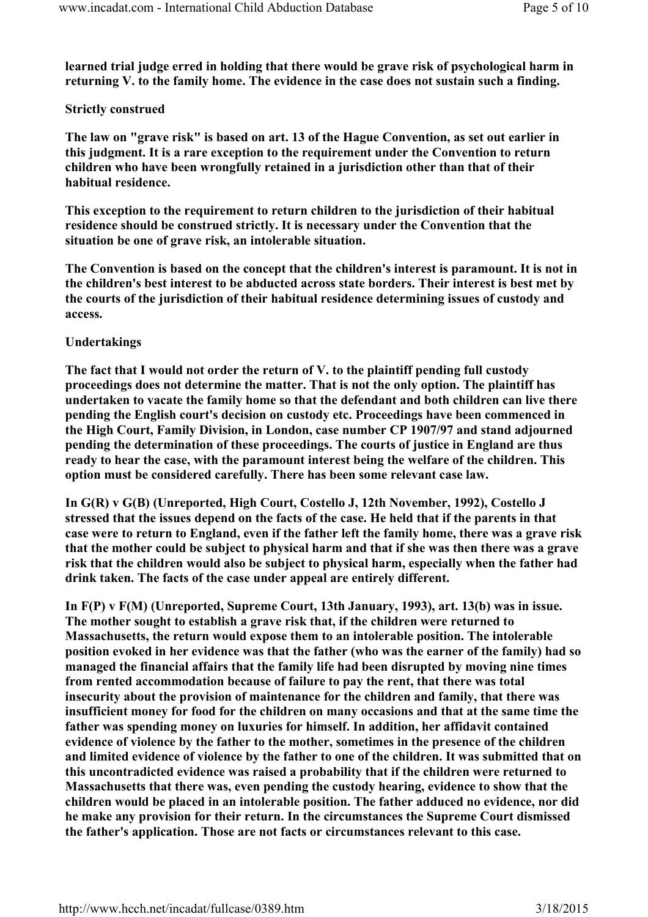learned trial judge erred in holding that there would be grave risk of psychological harm in returning V. to the family home. The evidence in the case does not sustain such a finding.

# Strictly construed

The law on "grave risk" is based on art. 13 of the Hague Convention, as set out earlier in this judgment. It is a rare exception to the requirement under the Convention to return children who have been wrongfully retained in a jurisdiction other than that of their habitual residence.

This exception to the requirement to return children to the jurisdiction of their habitual residence should be construed strictly. It is necessary under the Convention that the situation be one of grave risk, an intolerable situation.

The Convention is based on the concept that the children's interest is paramount. It is not in the children's best interest to be abducted across state borders. Their interest is best met by the courts of the jurisdiction of their habitual residence determining issues of custody and access.

## Undertakings

The fact that I would not order the return of V. to the plaintiff pending full custody proceedings does not determine the matter. That is not the only option. The plaintiff has undertaken to vacate the family home so that the defendant and both children can live there pending the English court's decision on custody etc. Proceedings have been commenced in the High Court, Family Division, in London, case number CP 1907/97 and stand adjourned pending the determination of these proceedings. The courts of justice in England are thus ready to hear the case, with the paramount interest being the welfare of the children. This option must be considered carefully. There has been some relevant case law.

In G(R) v G(B) (Unreported, High Court, Costello J, 12th November, 1992), Costello J stressed that the issues depend on the facts of the case. He held that if the parents in that case were to return to England, even if the father left the family home, there was a grave risk that the mother could be subject to physical harm and that if she was then there was a grave risk that the children would also be subject to physical harm, especially when the father had drink taken. The facts of the case under appeal are entirely different.

In F(P) v F(M) (Unreported, Supreme Court, 13th January, 1993), art. 13(b) was in issue. The mother sought to establish a grave risk that, if the children were returned to Massachusetts, the return would expose them to an intolerable position. The intolerable position evoked in her evidence was that the father (who was the earner of the family) had so managed the financial affairs that the family life had been disrupted by moving nine times from rented accommodation because of failure to pay the rent, that there was total insecurity about the provision of maintenance for the children and family, that there was insufficient money for food for the children on many occasions and that at the same time the father was spending money on luxuries for himself. In addition, her affidavit contained evidence of violence by the father to the mother, sometimes in the presence of the children and limited evidence of violence by the father to one of the children. It was submitted that on this uncontradicted evidence was raised a probability that if the children were returned to Massachusetts that there was, even pending the custody hearing, evidence to show that the children would be placed in an intolerable position. The father adduced no evidence, nor did he make any provision for their return. In the circumstances the Supreme Court dismissed the father's application. Those are not facts or circumstances relevant to this case.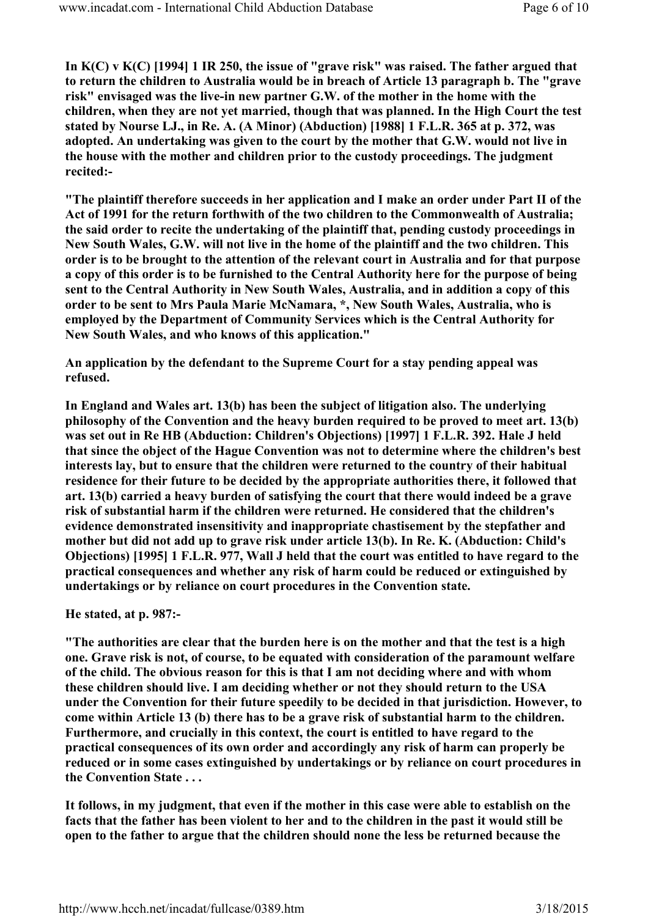In K(C) v K(C) [1994] 1 IR 250, the issue of "grave risk" was raised. The father argued that to return the children to Australia would be in breach of Article 13 paragraph b. The "grave risk" envisaged was the live-in new partner G.W. of the mother in the home with the children, when they are not yet married, though that was planned. In the High Court the test stated by Nourse LJ., in Re. A. (A Minor) (Abduction) [1988] 1 F.L.R. 365 at p. 372, was adopted. An undertaking was given to the court by the mother that G.W. would not live in the house with the mother and children prior to the custody proceedings. The judgment recited:-

"The plaintiff therefore succeeds in her application and I make an order under Part II of the Act of 1991 for the return forthwith of the two children to the Commonwealth of Australia; the said order to recite the undertaking of the plaintiff that, pending custody proceedings in New South Wales, G.W. will not live in the home of the plaintiff and the two children. This order is to be brought to the attention of the relevant court in Australia and for that purpose a copy of this order is to be furnished to the Central Authority here for the purpose of being sent to the Central Authority in New South Wales, Australia, and in addition a copy of this order to be sent to Mrs Paula Marie McNamara, \*, New South Wales, Australia, who is employed by the Department of Community Services which is the Central Authority for New South Wales, and who knows of this application."

An application by the defendant to the Supreme Court for a stay pending appeal was refused.

In England and Wales art. 13(b) has been the subject of litigation also. The underlying philosophy of the Convention and the heavy burden required to be proved to meet art. 13(b) was set out in Re HB (Abduction: Children's Objections) [1997] 1 F.L.R. 392. Hale J held that since the object of the Hague Convention was not to determine where the children's best interests lay, but to ensure that the children were returned to the country of their habitual residence for their future to be decided by the appropriate authorities there, it followed that art. 13(b) carried a heavy burden of satisfying the court that there would indeed be a grave risk of substantial harm if the children were returned. He considered that the children's evidence demonstrated insensitivity and inappropriate chastisement by the stepfather and mother but did not add up to grave risk under article 13(b). In Re. K. (Abduction: Child's Objections) [1995] 1 F.L.R. 977, Wall J held that the court was entitled to have regard to the practical consequences and whether any risk of harm could be reduced or extinguished by undertakings or by reliance on court procedures in the Convention state.

He stated, at p. 987:-

"The authorities are clear that the burden here is on the mother and that the test is a high one. Grave risk is not, of course, to be equated with consideration of the paramount welfare of the child. The obvious reason for this is that I am not deciding where and with whom these children should live. I am deciding whether or not they should return to the USA under the Convention for their future speedily to be decided in that jurisdiction. However, to come within Article 13 (b) there has to be a grave risk of substantial harm to the children. Furthermore, and crucially in this context, the court is entitled to have regard to the practical consequences of its own order and accordingly any risk of harm can properly be reduced or in some cases extinguished by undertakings or by reliance on court procedures in the Convention State . . .

It follows, in my judgment, that even if the mother in this case were able to establish on the facts that the father has been violent to her and to the children in the past it would still be open to the father to argue that the children should none the less be returned because the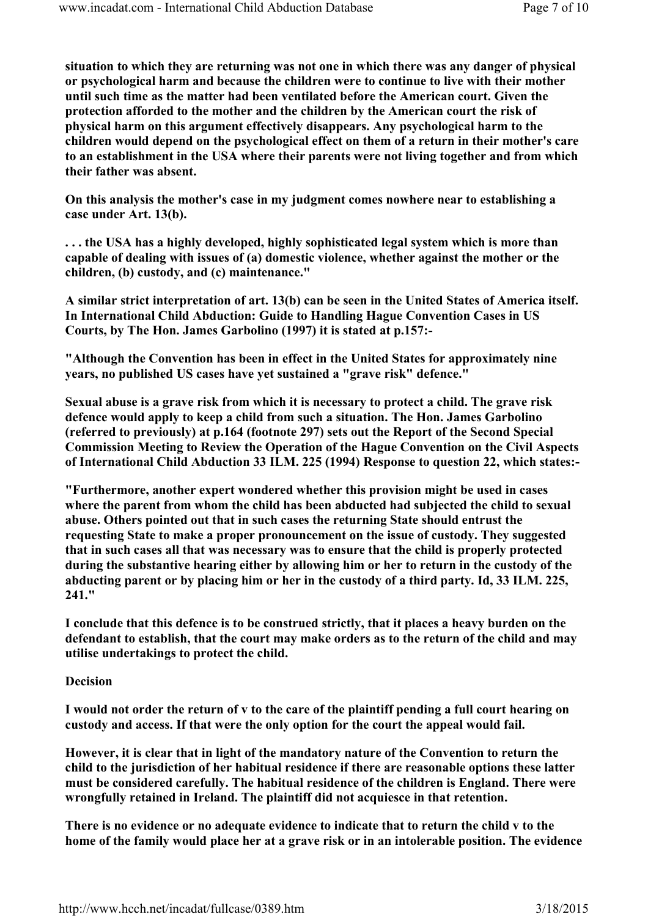situation to which they are returning was not one in which there was any danger of physical or psychological harm and because the children were to continue to live with their mother until such time as the matter had been ventilated before the American court. Given the protection afforded to the mother and the children by the American court the risk of physical harm on this argument effectively disappears. Any psychological harm to the children would depend on the psychological effect on them of a return in their mother's care to an establishment in the USA where their parents were not living together and from which their father was absent.

On this analysis the mother's case in my judgment comes nowhere near to establishing a case under Art. 13(b).

. . . the USA has a highly developed, highly sophisticated legal system which is more than capable of dealing with issues of (a) domestic violence, whether against the mother or the children, (b) custody, and (c) maintenance."

A similar strict interpretation of art. 13(b) can be seen in the United States of America itself. In International Child Abduction: Guide to Handling Hague Convention Cases in US Courts, by The Hon. James Garbolino (1997) it is stated at p.157:-

"Although the Convention has been in effect in the United States for approximately nine years, no published US cases have yet sustained a "grave risk" defence."

Sexual abuse is a grave risk from which it is necessary to protect a child. The grave risk defence would apply to keep a child from such a situation. The Hon. James Garbolino (referred to previously) at p.164 (footnote 297) sets out the Report of the Second Special Commission Meeting to Review the Operation of the Hague Convention on the Civil Aspects of International Child Abduction 33 ILM. 225 (1994) Response to question 22, which states:-

"Furthermore, another expert wondered whether this provision might be used in cases where the parent from whom the child has been abducted had subjected the child to sexual abuse. Others pointed out that in such cases the returning State should entrust the requesting State to make a proper pronouncement on the issue of custody. They suggested that in such cases all that was necessary was to ensure that the child is properly protected during the substantive hearing either by allowing him or her to return in the custody of the abducting parent or by placing him or her in the custody of a third party. Id, 33 ILM. 225, 241."

I conclude that this defence is to be construed strictly, that it places a heavy burden on the defendant to establish, that the court may make orders as to the return of the child and may utilise undertakings to protect the child.

### Decision

I would not order the return of v to the care of the plaintiff pending a full court hearing on custody and access. If that were the only option for the court the appeal would fail.

However, it is clear that in light of the mandatory nature of the Convention to return the child to the jurisdiction of her habitual residence if there are reasonable options these latter must be considered carefully. The habitual residence of the children is England. There were wrongfully retained in Ireland. The plaintiff did not acquiesce in that retention.

There is no evidence or no adequate evidence to indicate that to return the child v to the home of the family would place her at a grave risk or in an intolerable position. The evidence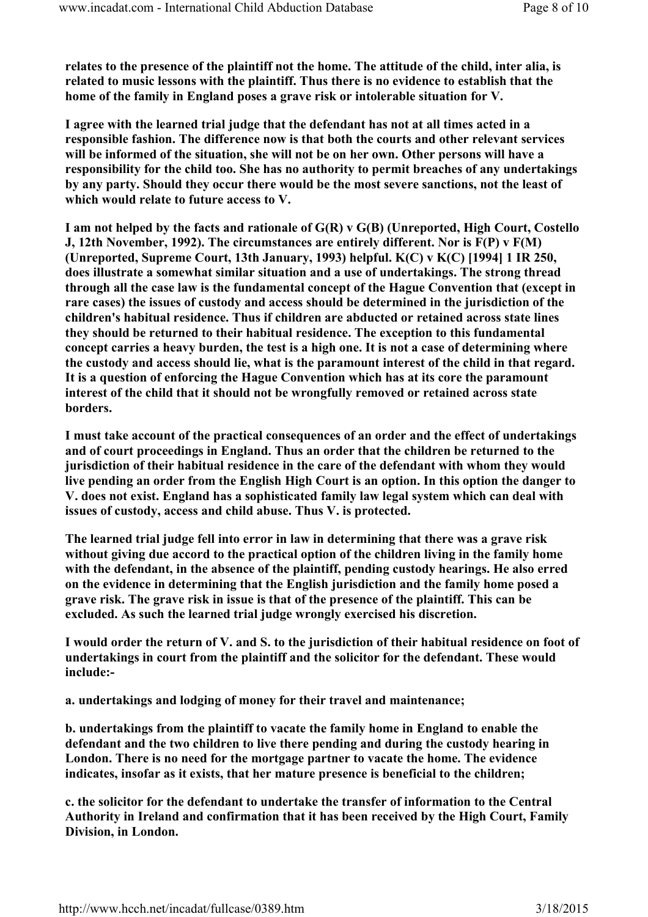relates to the presence of the plaintiff not the home. The attitude of the child, inter alia, is related to music lessons with the plaintiff. Thus there is no evidence to establish that the home of the family in England poses a grave risk or intolerable situation for V.

I agree with the learned trial judge that the defendant has not at all times acted in a responsible fashion. The difference now is that both the courts and other relevant services will be informed of the situation, she will not be on her own. Other persons will have a responsibility for the child too. She has no authority to permit breaches of any undertakings by any party. Should they occur there would be the most severe sanctions, not the least of which would relate to future access to V.

I am not helped by the facts and rationale of G(R) v G(B) (Unreported, High Court, Costello J, 12th November, 1992). The circumstances are entirely different. Nor is F(P) v F(M) (Unreported, Supreme Court, 13th January, 1993) helpful. K(C) v K(C) [1994] 1 IR 250, does illustrate a somewhat similar situation and a use of undertakings. The strong thread through all the case law is the fundamental concept of the Hague Convention that (except in rare cases) the issues of custody and access should be determined in the jurisdiction of the children's habitual residence. Thus if children are abducted or retained across state lines they should be returned to their habitual residence. The exception to this fundamental concept carries a heavy burden, the test is a high one. It is not a case of determining where the custody and access should lie, what is the paramount interest of the child in that regard. It is a question of enforcing the Hague Convention which has at its core the paramount interest of the child that it should not be wrongfully removed or retained across state borders.

I must take account of the practical consequences of an order and the effect of undertakings and of court proceedings in England. Thus an order that the children be returned to the jurisdiction of their habitual residence in the care of the defendant with whom they would live pending an order from the English High Court is an option. In this option the danger to V. does not exist. England has a sophisticated family law legal system which can deal with issues of custody, access and child abuse. Thus V. is protected.

The learned trial judge fell into error in law in determining that there was a grave risk without giving due accord to the practical option of the children living in the family home with the defendant, in the absence of the plaintiff, pending custody hearings. He also erred on the evidence in determining that the English jurisdiction and the family home posed a grave risk. The grave risk in issue is that of the presence of the plaintiff. This can be excluded. As such the learned trial judge wrongly exercised his discretion.

I would order the return of V. and S. to the jurisdiction of their habitual residence on foot of undertakings in court from the plaintiff and the solicitor for the defendant. These would include:-

a. undertakings and lodging of money for their travel and maintenance;

b. undertakings from the plaintiff to vacate the family home in England to enable the defendant and the two children to live there pending and during the custody hearing in London. There is no need for the mortgage partner to vacate the home. The evidence indicates, insofar as it exists, that her mature presence is beneficial to the children;

c. the solicitor for the defendant to undertake the transfer of information to the Central Authority in Ireland and confirmation that it has been received by the High Court, Family Division, in London.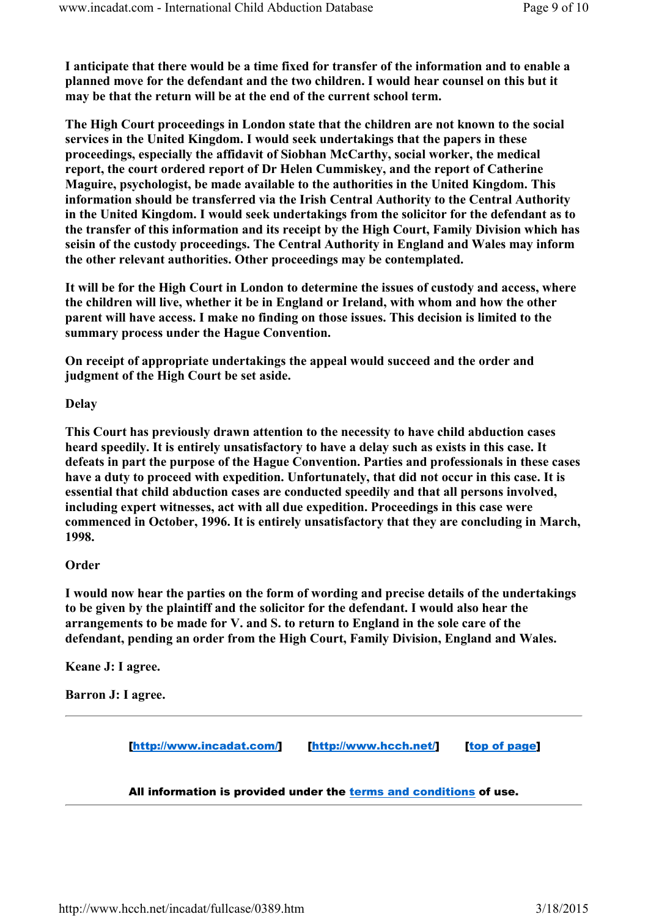I anticipate that there would be a time fixed for transfer of the information and to enable a planned move for the defendant and the two children. I would hear counsel on this but it may be that the return will be at the end of the current school term.

The High Court proceedings in London state that the children are not known to the social services in the United Kingdom. I would seek undertakings that the papers in these proceedings, especially the affidavit of Siobhan McCarthy, social worker, the medical report, the court ordered report of Dr Helen Cummiskey, and the report of Catherine Maguire, psychologist, be made available to the authorities in the United Kingdom. This information should be transferred via the Irish Central Authority to the Central Authority in the United Kingdom. I would seek undertakings from the solicitor for the defendant as to the transfer of this information and its receipt by the High Court, Family Division which has seisin of the custody proceedings. The Central Authority in England and Wales may inform the other relevant authorities. Other proceedings may be contemplated.

It will be for the High Court in London to determine the issues of custody and access, where the children will live, whether it be in England or Ireland, with whom and how the other parent will have access. I make no finding on those issues. This decision is limited to the summary process under the Hague Convention.

On receipt of appropriate undertakings the appeal would succeed and the order and judgment of the High Court be set aside.

### Delay

This Court has previously drawn attention to the necessity to have child abduction cases heard speedily. It is entirely unsatisfactory to have a delay such as exists in this case. It defeats in part the purpose of the Hague Convention. Parties and professionals in these cases have a duty to proceed with expedition. Unfortunately, that did not occur in this case. It is essential that child abduction cases are conducted speedily and that all persons involved, including expert witnesses, act with all due expedition. Proceedings in this case were commenced in October, 1996. It is entirely unsatisfactory that they are concluding in March, 1998.

### **Order**

I would now hear the parties on the form of wording and precise details of the undertakings to be given by the plaintiff and the solicitor for the defendant. I would also hear the arrangements to be made for V. and S. to return to England in the sole care of the defendant, pending an order from the High Court, Family Division, England and Wales.

Keane J: I agree.

Barron J: I agree.

[http://www.incadat.com/] [http://www.hcch.net/] [top of page]

#### All information is provided under the terms and conditions of use.